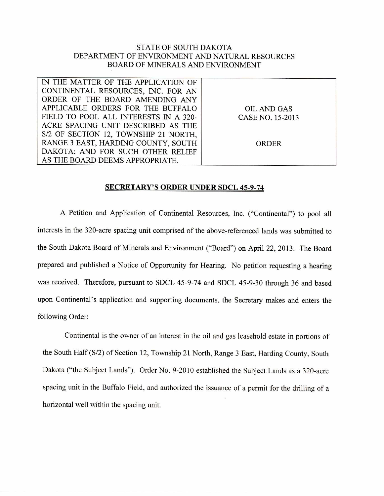## STATE OF SOUTH DAKOTA DEPARTMENT OF ENVIRONMENT AND NATURAL RESOURCES BOARD OF MINERALS AND ENVIRONMENT

| IN THE MATTER OF THE APPLICATION OF   |                  |
|---------------------------------------|------------------|
| CONTINENTAL RESOURCES, INC. FOR AN    |                  |
| ORDER OF THE BOARD AMENDING ANY       |                  |
| APPLICABLE ORDERS FOR THE BUFFALO     | OIL AND GAS      |
| FIELD TO POOL ALL INTERESTS IN A 320- | CASE NO. 15-2013 |
| ACRE SPACING UNIT DESCRIBED AS THE    |                  |
| S/2 OF SECTION 12, TOWNSHIP 21 NORTH, |                  |
| RANGE 3 EAST, HARDING COUNTY, SOUTH   | ORDER            |
| DAKOTA; AND FOR SUCH OTHER RELIEF     |                  |
| AS THE BOARD DEEMS APPROPRIATE.       |                  |

## **SECRETARY'S ORDER UNDER SDCL 45-9-74**

A Petition and Application of Continental Resources, Inc. ("Continental") to pool all interests in the 320-acre spacing unit comprised of the above-referenced lands was submitted to the South Dakota Board of Minerals and Environment ("Board") on April 22, 2013. The Board prepared and published a Notice of Opportunity for Hearing. No petition requesting a hearing was received. Therefore, pursuant to SDCL 45-9-74 and SDCL 45-9-30 through 36 and based upon Continental's application and supporting documents, the Secretary makes and enters the following Order:

Continental is the owner of an interest in the oil and gas leasehold estate in portions of the South Half (S/2) of Section 12, Township 21 North, Range 3 East, Harding County, South Dakota ("the Subject Lands"). Order No. 9-2010 established the Subject Lands as a 320-acre spacing unit in the Buffalo Field, and authorized the issuance of a permit for the drilling of a horizontal well within the spacing unit.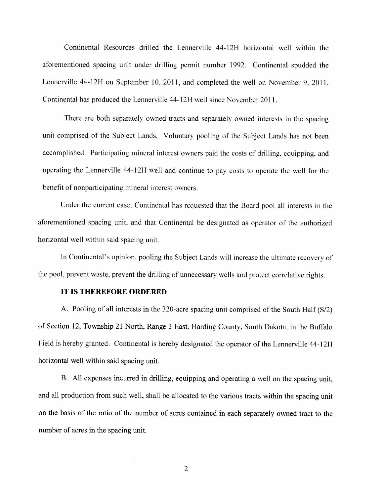Continental Resources drilled the Lennerville 44-12H horizontal well within the aforementioned spacing unit under drilling permit number 1992. Continental spudded the Lennerville 44-12H on September 10, 2011, and completed the well on November 9, 2011. Continental has produced the Lennerville 44-12H well since November 2011.

There are both separately owned tracts and separately owned interests in the spacing unit comprised of the Subject Lands. Voluntary pooling of the Subject Lands has not been accomplished. Participating mineral interest owners paid the costs of drilling, equipping, and operating the Lennerville 44-12H well and continue to pay costs to operate the well for the benefit of nonparticipating mineral interest owners.

Under the current case, Continental has requested that the Board pool all interests in the aforementioned spacing unit, and that Continental be designated as operator of the authorized horizontal well within said spacing unit.

In Continental's opinion, pooling the Subject Lands will increase the ultimate recovery of the pool, prevent waste, prevent the drilling of unnecessary wells and protect correlative rights.

## **IT IS THEREFORE ORDERED**

A. Pooling of all interests in the 320-acre spacing unit comprised of the South Half (S/2) of Section 12, Township 21 North, Range 3 East, Harding County, South Dakota, in the Buffalo Field is hereby granted. Continental is hereby designated the operator of the Lennerville 44-12H horizontal well within said spacing unit.

B. All expenses incurred in drilling, equipping and operating a well on the spacing unit, and all production from such well, shall be allocated to the various tracts within the spacing unit on the basis of the ratio of the number of acres contained in each separately owned tract to the number of acres in the spacing unit.

2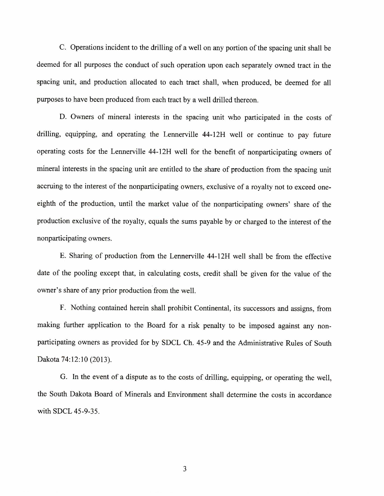C. Operations incident to the drilling of a well on any portion of the spacing unit shall be deemed for all purposes the conduct of such operation upon each separately owned tract in the spacing unit, and production allocated to each tract shall, when produced, be deemed for all purposes to have been produced from each tract by a well drilled thereon.

D. Owners of mineral interests in the spacing unit who participated in the costs of drilling, equipping, and operating the Lennerville 44-12H well or continue to pay future operating costs for the Lennerville 44-12H well for the benefit of nonparticipating owners of mineral interests in the spacing unit are entitled to the share of production from the spacing unit accruing to the interest of the nonparticipating owners, exclusive of a royalty not to exceed oneeighth of the production, until the market value of the nonparticipating owners' share of the production exclusive of the royalty, equals the sums payable by or charged to the interest of the nonparticipating owners.

E. Sharing of production from the Lennerville 44-12H well shall be from the effective date of the pooling except that, in calculating costs, credit shall be given for the value of the owner's share of any prior production from the well.

F. Nothing contained herein shall prohibit Continental, its successors and assigns, from making further application to the Board for a risk penalty to be imposed against any nonparticipating owners as provided for by SDCL Ch. 45-9 and the Administrative Rules of South Dakota 74:12:10 (2013).

G. In the event of a dispute as to the costs of drilling, equipping, or operating the well, the South Dakota Board of Minerals and Environment shall determine the costs in accordance with SDCL 45-9-35.

3